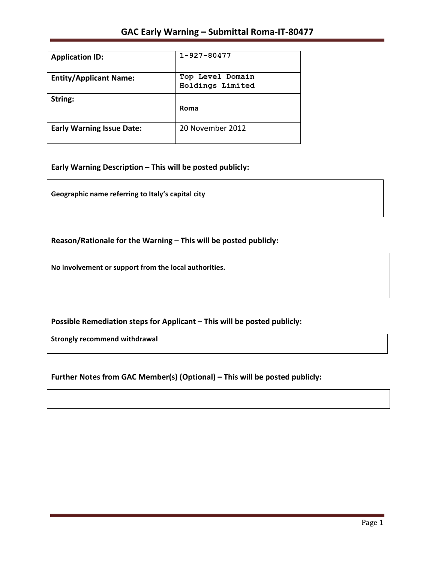| <b>Application ID:</b>           | $1 - 927 - 80477$                    |
|----------------------------------|--------------------------------------|
| <b>Entity/Applicant Name:</b>    | Top Level Domain<br>Holdings Limited |
| String:                          | Roma                                 |
| <b>Early Warning Issue Date:</b> | 20 November 2012                     |

### Early Warning Description - This will be posted publicly:

Geographic name referring to Italy's capital city

### Reason/Rationale for the Warning – This will be posted publicly:

No involvement or support from the local authorities.

**Possible Remediation steps for Applicant – This will be posted publicly:** 

**Strongly recommend withdrawal** 

### **Further Notes from GAC Member(s) (Optional) – This will be posted publicly:**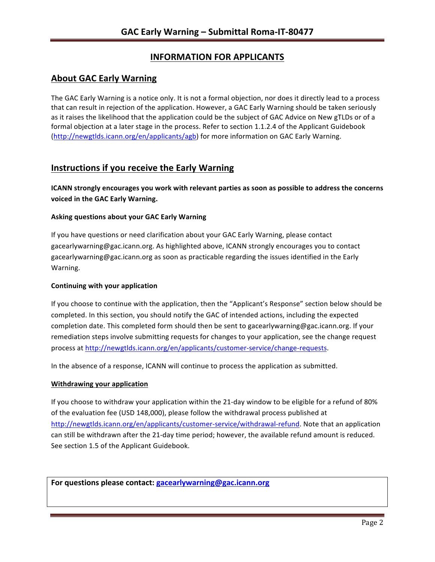# **INFORMATION FOR APPLICANTS**

## **About GAC Early Warning**

The GAC Early Warning is a notice only. It is not a formal objection, nor does it directly lead to a process that can result in rejection of the application. However, a GAC Early Warning should be taken seriously as it raises the likelihood that the application could be the subject of GAC Advice on New gTLDs or of a formal objection at a later stage in the process. Refer to section 1.1.2.4 of the Applicant Guidebook (http://newgtlds.icann.org/en/applicants/agb) for more information on GAC Early Warning.

## **Instructions if you receive the Early Warning**

**ICANN** strongly encourages you work with relevant parties as soon as possible to address the concerns **voiced in the GAC Early Warning.** 

#### **Asking questions about your GAC Early Warning**

If you have questions or need clarification about your GAC Early Warning, please contact gacearlywarning@gac.icann.org. As highlighted above, ICANN strongly encourages you to contact gacearlywarning@gac.icann.org as soon as practicable regarding the issues identified in the Early Warning. 

#### **Continuing with your application**

If you choose to continue with the application, then the "Applicant's Response" section below should be completed. In this section, you should notify the GAC of intended actions, including the expected completion date. This completed form should then be sent to gacearlywarning@gac.icann.org. If your remediation steps involve submitting requests for changes to your application, see the change request process at http://newgtlds.icann.org/en/applicants/customer-service/change-requests.

In the absence of a response, ICANN will continue to process the application as submitted.

#### **Withdrawing your application**

If you choose to withdraw your application within the 21-day window to be eligible for a refund of 80% of the evaluation fee (USD 148,000), please follow the withdrawal process published at http://newgtlds.icann.org/en/applicants/customer-service/withdrawal-refund. Note that an application can still be withdrawn after the 21-day time period; however, the available refund amount is reduced. See section 1.5 of the Applicant Guidebook.

For questions please contact: gacearlywarning@gac.icann.org